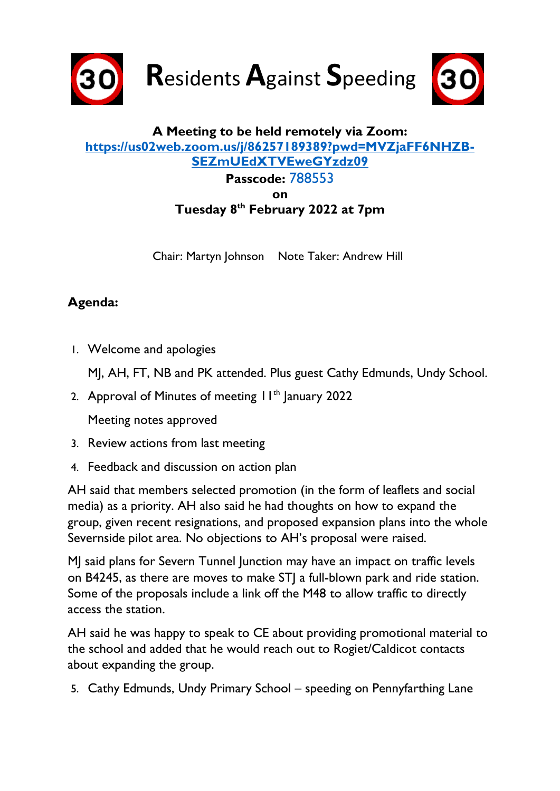

**R**esidents **A**gainst **S**peeding



## **A Meeting to be held remotely via Zoom: [https://us02web.zoom.us/j/86257189389?pwd=MVZjaFF6NHZB-](https://us02web.zoom.us/j/86257189389?pwd=MVZjaFF6NHZBSEZmUEdXTVEweGYzdz09)[SEZmUEdXTVEweGYzdz09](https://us02web.zoom.us/j/86257189389?pwd=MVZjaFF6NHZBSEZmUEdXTVEweGYzdz09) Passcode:** 788553 **on Tuesday 8 th February 2022 at 7pm**

Chair: Martyn Johnson Note Taker: Andrew Hill

## **Agenda:**

1. Welcome and apologies

MJ, AH, FT, NB and PK attended. Plus guest Cathy Edmunds, Undy School.

2. Approval of Minutes of meeting  $11<sup>th</sup>$  January 2022

Meeting notes approved

- 3. Review actions from last meeting
- 4. Feedback and discussion on action plan

AH said that members selected promotion (in the form of leaflets and social media) as a priority. AH also said he had thoughts on how to expand the group, given recent resignations, and proposed expansion plans into the whole Severnside pilot area. No objections to AH's proposal were raised.

MJ said plans for Severn Tunnel Junction may have an impact on traffic levels on B4245, as there are moves to make STJ a full-blown park and ride station. Some of the proposals include a link off the M48 to allow traffic to directly access the station.

AH said he was happy to speak to CE about providing promotional material to the school and added that he would reach out to Rogiet/Caldicot contacts about expanding the group.

5. Cathy Edmunds, Undy Primary School – speeding on Pennyfarthing Lane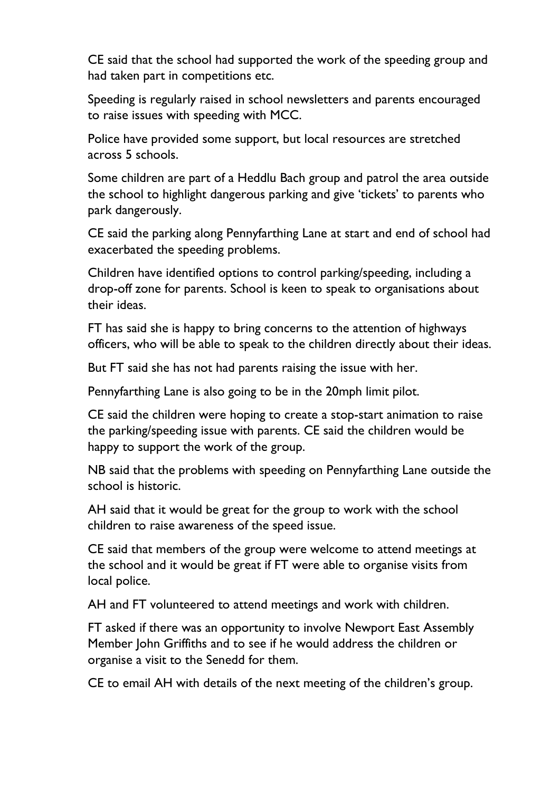CE said that the school had supported the work of the speeding group and had taken part in competitions etc.

Speeding is regularly raised in school newsletters and parents encouraged to raise issues with speeding with MCC.

Police have provided some support, but local resources are stretched across 5 schools.

Some children are part of a Heddlu Bach group and patrol the area outside the school to highlight dangerous parking and give 'tickets' to parents who park dangerously.

CE said the parking along Pennyfarthing Lane at start and end of school had exacerbated the speeding problems.

Children have identified options to control parking/speeding, including a drop-off zone for parents. School is keen to speak to organisations about their ideas.

FT has said she is happy to bring concerns to the attention of highways officers, who will be able to speak to the children directly about their ideas.

But FT said she has not had parents raising the issue with her.

Pennyfarthing Lane is also going to be in the 20mph limit pilot.

CE said the children were hoping to create a stop-start animation to raise the parking/speeding issue with parents. CE said the children would be happy to support the work of the group.

NB said that the problems with speeding on Pennyfarthing Lane outside the school is historic

AH said that it would be great for the group to work with the school children to raise awareness of the speed issue.

CE said that members of the group were welcome to attend meetings at the school and it would be great if FT were able to organise visits from local police.

AH and FT volunteered to attend meetings and work with children.

FT asked if there was an opportunity to involve Newport East Assembly Member John Griffiths and to see if he would address the children or organise a visit to the Senedd for them.

CE to email AH with details of the next meeting of the children's group.